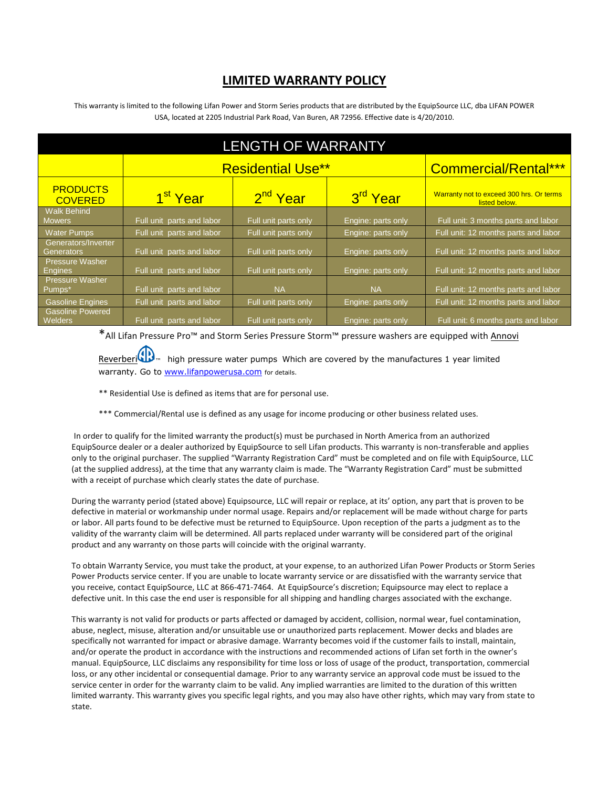## **LIMITED WARRANTY POLICY**

This warranty is limited to the following Lifan Power and Storm Series products that are distributed by the EquipSource LLC, dba LIFAN POWER USA, located at 2205 Industrial Park Road, Van Buren, AR 72956. Effective date is 4/20/2010.

| <b>LENGTH OF WARRANTY</b>                  |                           |                      |                      |                                                           |
|--------------------------------------------|---------------------------|----------------------|----------------------|-----------------------------------------------------------|
|                                            | <b>Residential Use**</b>  |                      |                      | <b>Commercial/Rental***</b>                               |
| <b>PRODUCTS</b><br><b>COVERED</b>          | 1 <sup>st</sup> Year      | 2 <sup>nd</sup> Year | 3 <sup>rd</sup> Year | Warranty not to exceed 300 hrs. Or terms<br>listed below. |
| <b>Walk Behind</b><br><b>Mowers</b>        | Full unit parts and labor | Full unit parts only | Engine: parts only   | Full unit: 3 months parts and labor                       |
| <b>Water Pumps</b>                         | Full unit parts and labor | Full unit parts only | Engine: parts only   | Full unit: 12 months parts and labor                      |
| Generators/Inverter<br>Generators          | Full unit parts and labor | Full unit parts only | Engine: parts only   | Full unit: 12 months parts and labor                      |
| <b>Pressure Washer</b><br><b>Engines</b>   | Full unit parts and labor | Full unit parts only | Engine: parts only   | Full unit: 12 months parts and labor                      |
| <b>Pressure Washer</b><br><u>'P</u> umps*, | Full unit parts and labor | <b>NA</b>            | <b>NA</b>            | Full unit: 12 months parts and labor                      |
| <b>Gasoline Engines</b>                    | Full unit parts and labor | Full unit parts only | Engine: parts only   | Full unit: 12 months parts and labor                      |
| <b>Gasoline Powered</b><br><b>Welders</b>  | Full unit parts and labor | Full unit parts only | Engine: parts only   | Full unit: 6 months parts and labor                       |

\*All Lifan Pressure Pro™ and Storm Series Pressure Storm™ pressure washers are equipped wit[h Annovi](http://www.google.com/aclk?sa=l&ai=CN_PDfMfVS9H6NIG68gSm28jUBYimwYMBlr_H4AyMkakFCAAQASCLmPgFKANQts_Lxvr_____AWDJ3rqGwKP8FKAB-K3A_wPIAQGqBBtP0DF-suSPVWZo2aIwgHyO74DazsAwc-_7--2ABZBO&sig=AGiWqtyvdO8G5QoKvh1MpNuPMgn0czwZOw&q=http://www.pwmall.com/t-annovi_reverberi.aspx) 

[Reverberi](http://www.google.com/aclk?sa=l&ai=CN_PDfMfVS9H6NIG68gSm28jUBYimwYMBlr_H4AyMkakFCAAQASCLmPgFKANQts_Lxvr_____AWDJ3rqGwKP8FKAB-K3A_wPIAQGqBBtP0DF-suSPVWZo2aIwgHyO74DazsAwc-_7--2ABZBO&sig=AGiWqtyvdO8G5QoKvh1MpNuPMgn0czwZOw&q=http://www.pwmall.com/t-annovi_reverberi.aspx) $\bigoplus$  ingh pressure water pumps. Which are covered by the manufactures 1 year limited warranty. Go to [www.lifanpowerusa.com](http://www.lifanpowerusa.com/) for details.

- \*\* Residential Use is defined as items that are for personal use.
- \*\*\* Commercial/Rental use is defined as any usage for income producing or other business related uses.

In order to qualify for the limited warranty the product(s) must be purchased in North America from an authorized EquipSource dealer or a dealer authorized by EquipSource to sell Lifan products. This warranty is non-transferable and applies only to the original purchaser. The supplied "Warranty Registration Card" must be completed and on file with EquipSource, LLC (at the supplied address), at the time that any warranty claim is made. The "Warranty Registration Card" must be submitted with a receipt of purchase which clearly states the date of purchase.

During the warranty period (stated above) Equipsource, LLC will repair or replace, at its' option, any part that is proven to be defective in material or workmanship under normal usage. Repairs and/or replacement will be made without charge for parts or labor. All parts found to be defective must be returned to EquipSource. Upon reception of the parts a judgment as to the validity of the warranty claim will be determined. All parts replaced under warranty will be considered part of the original product and any warranty on those parts will coincide with the original warranty.

To obtain Warranty Service, you must take the product, at your expense, to an authorized Lifan Power Products or Storm Series Power Products service center. If you are unable to locate warranty service or are dissatisfied with the warranty service that you receive, contact EquipSource, LLC at 866-471-7464. At EquipSource's discretion; Equipsource may elect to replace a defective unit. In this case the end user is responsible for all shipping and handling charges associated with the exchange.

This warranty is not valid for products or parts affected or damaged by accident, collision, normal wear, fuel contamination, abuse, neglect, misuse, alteration and/or unsuitable use or unauthorized parts replacement. Mower decks and blades are specifically not warranted for impact or abrasive damage. Warranty becomes void if the customer fails to install, maintain, and/or operate the product in accordance with the instructions and recommended actions of Lifan set forth in the owner's manual. EquipSource, LLC disclaims any responsibility for time loss or loss of usage of the product, transportation, commercial loss, or any other incidental or consequential damage. Prior to any warranty service an approval code must be issued to the service center in order for the warranty claim to be valid. Any implied warranties are limited to the duration of this written limited warranty. This warranty gives you specific legal rights, and you may also have other rights, which may vary from state to state.